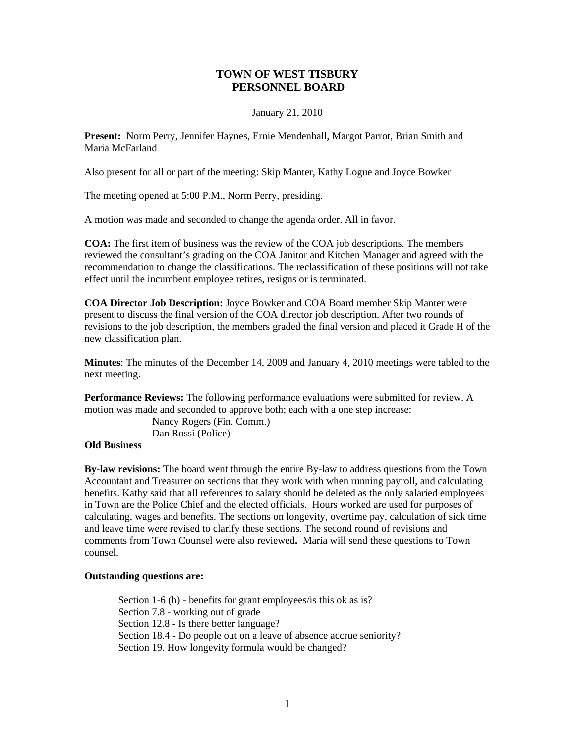# **TOWN OF WEST TISBURY PERSONNEL BOARD**

### January 21, 2010

**Present:** Norm Perry, Jennifer Haynes, Ernie Mendenhall, Margot Parrot, Brian Smith and Maria McFarland

Also present for all or part of the meeting: Skip Manter, Kathy Logue and Joyce Bowker

The meeting opened at 5:00 P.M., Norm Perry, presiding.

A motion was made and seconded to change the agenda order. All in favor.

**COA:** The first item of business was the review of the COA job descriptions. The members reviewed the consultant's grading on the COA Janitor and Kitchen Manager and agreed with the recommendation to change the classifications. The reclassification of these positions will not take effect until the incumbent employee retires, resigns or is terminated.

**COA Director Job Description:** Joyce Bowker and COA Board member Skip Manter were present to discuss the final version of the COA director job description. After two rounds of revisions to the job description, the members graded the final version and placed it Grade H of the new classification plan.

**Minutes**: The minutes of the December 14, 2009 and January 4, 2010 meetings were tabled to the next meeting.

**Performance Reviews:** The following performance evaluations were submitted for review. A motion was made and seconded to approve both; each with a one step increase:

> Nancy Rogers (Fin. Comm.) Dan Rossi (Police)

#### **Old Business**

**By-law revisions:** The board went through the entire By-law to address questions from the Town Accountant and Treasurer on sections that they work with when running payroll, and calculating benefits. Kathy said that all references to salary should be deleted as the only salaried employees in Town are the Police Chief and the elected officials. Hours worked are used for purposes of calculating, wages and benefits. The sections on longevity, overtime pay, calculation of sick time and leave time were revised to clarify these sections. The second round of revisions and comments from Town Counsel were also reviewed**.** Maria will send these questions to Town counsel.

#### **Outstanding questions are:**

Section 1-6 (h) - benefits for grant employees/is this ok as is? Section 7.8 - working out of grade Section 12.8 - Is there better language? Section 18.4 - Do people out on a leave of absence accrue seniority? Section 19. How longevity formula would be changed?